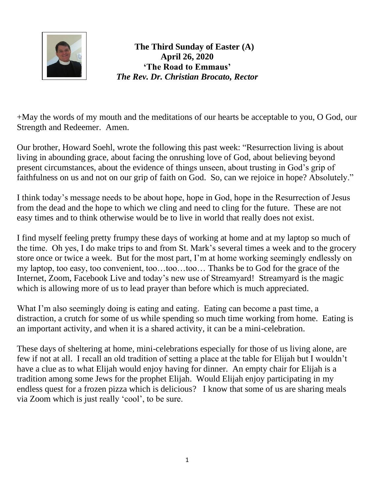

**The Third Sunday of Easter (A) April 26, 2020 'The Road to Emmaus'** *The Rev. Dr. Christian Brocato, Rector*

+May the words of my mouth and the meditations of our hearts be acceptable to you, O God, our Strength and Redeemer. Amen.

Our brother, Howard Soehl, wrote the following this past week: "Resurrection living is about living in abounding grace, about facing the onrushing love of God, about believing beyond present circumstances, about the evidence of things unseen, about trusting in God's grip of faithfulness on us and not on our grip of faith on God. So, can we rejoice in hope? Absolutely."

I think today's message needs to be about hope, hope in God, hope in the Resurrection of Jesus from the dead and the hope to which we cling and need to cling for the future. These are not easy times and to think otherwise would be to live in world that really does not exist.

I find myself feeling pretty frumpy these days of working at home and at my laptop so much of the time. Oh yes, I do make trips to and from St. Mark's several times a week and to the grocery store once or twice a week. But for the most part, I'm at home working seemingly endlessly on my laptop, too easy, too convenient, too…too…too… Thanks be to God for the grace of the Internet, Zoom, Facebook Live and today's new use of Streamyard! Streamyard is the magic which is allowing more of us to lead prayer than before which is much appreciated.

What I'm also seemingly doing is eating and eating. Eating can become a past time, a distraction, a crutch for some of us while spending so much time working from home. Eating is an important activity, and when it is a shared activity, it can be a mini-celebration.

These days of sheltering at home, mini-celebrations especially for those of us living alone, are few if not at all. I recall an old tradition of setting a place at the table for Elijah but I wouldn't have a clue as to what Elijah would enjoy having for dinner. An empty chair for Elijah is a tradition among some Jews for the prophet Elijah. Would Elijah enjoy participating in my endless quest for a frozen pizza which is delicious? I know that some of us are sharing meals via Zoom which is just really 'cool', to be sure.